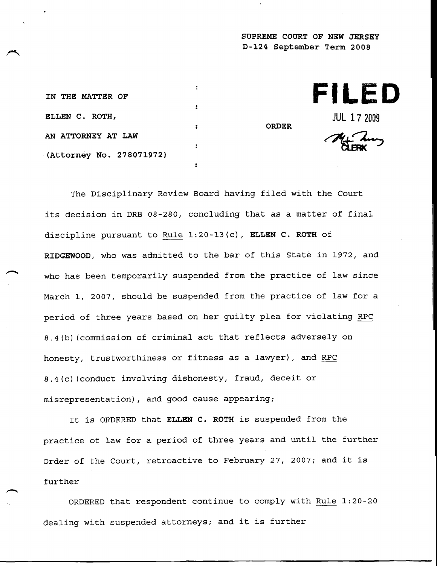**SUPREME COURT OF NEW JERSEY D-124 September Term 2008**

|              | FILED              |
|--------------|--------------------|
| <b>ORDER</b> | <b>JUL 17 2009</b> |
|              | My Lung            |

**IN THE MATTER OF ELLEN C. ROTH, AN ATTORNEY AT LAW (Attorney No. 278071972)**

The Disciplinary Review Board having filed with the Court its decision in DRB 08-280, concluding that as a matter of final discipline pursuant to Rule  $1:20-13(c)$ , ELLEN C. ROTH of RIDGEWOOD, who was admitted to the bar of this State in 1972, and who has been temporarily suspended from the practice of law since March i, 2007, should be suspended from the practice of law for a period of three years based on her guilty plea for violating RPC 8.4(b) (commission of criminal act that reflects adversely on honesty, trustworthiness or fitness as a lawyer), and RPC 8.4(c) (conduct involving dishonesty, fraud, deceit or misrepresentation), and good cause appearing;

 $\ddot{\cdot}$ 

 $\ddot{\phantom{a}}$ 

It is ORDERED that ELLEN C. ROTH is suspended from the practice of law for a period of three years and until the further Order of the Court, retroactive to February 27, 2007; and it is further

ORDERED that respondent continue to comply with Rule 1:20-20 dealing with suspended attorneys; and it is further